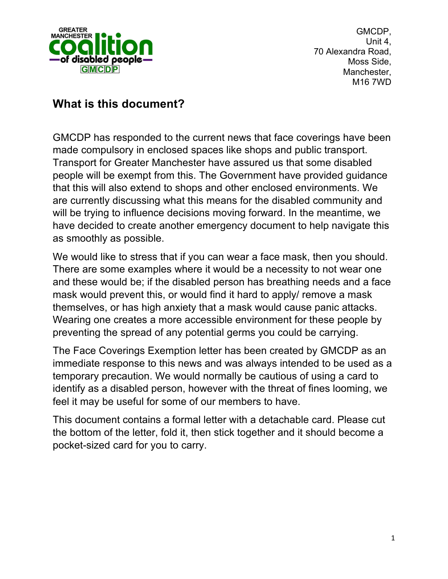

GMCDP, Unit 4, 70 Alexandra Road, Moss Side, Manchester, M16 7WD

## **What is this document?**

GMCDP has responded to the current news that face coverings have been made compulsory in enclosed spaces like shops and public transport. Transport for Greater Manchester have assured us that some disabled people will be exempt from this. The Government have provided guidance that this will also extend to shops and other enclosed environments. We are currently discussing what this means for the disabled community and will be trying to influence decisions moving forward. In the meantime, we have decided to create another emergency document to help navigate this as smoothly as possible.

We would like to stress that if you can wear a face mask, then you should. There are some examples where it would be a necessity to not wear one and these would be; if the disabled person has breathing needs and a face mask would prevent this, or would find it hard to apply/ remove a mask themselves, or has high anxiety that a mask would cause panic attacks. Wearing one creates a more accessible environment for these people by preventing the spread of any potential germs you could be carrying.

The Face Coverings Exemption letter has been created by GMCDP as an immediate response to this news and was always intended to be used as a temporary precaution. We would normally be cautious of using a card to identify as a disabled person, however with the threat of fines looming, we feel it may be useful for some of our members to have.

This document contains a formal letter with a detachable card. Please cut the bottom of the letter, fold it, then stick together and it should become a pocket-sized card for you to carry.